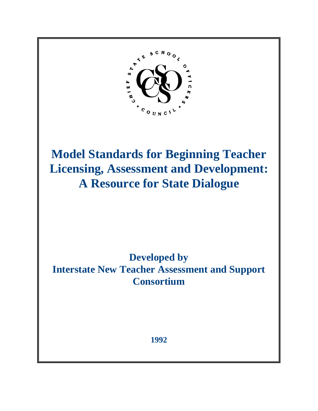

**Model Standards for Beginning Teacher Licensing, Assessment and Development: A Resource for State Dialogue**

# **Developed by Interstate New Teacher Assessment and Support Consortium**

**1992**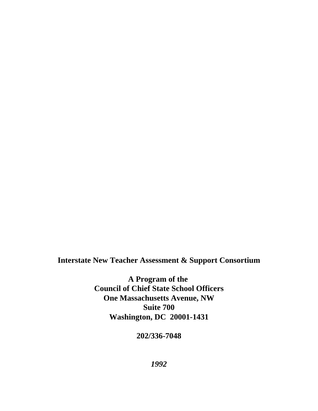**Interstate New Teacher Assessment & Support Consortium**

**A Program of the Council of Chief State School Officers One Massachusetts Avenue, NW Suite 700 Washington, DC 20001-1431**

**202/336-7048**

*1992*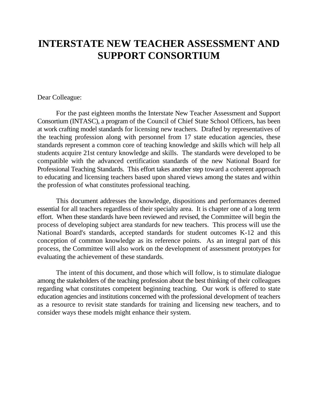# **INTERSTATE NEW TEACHER ASSESSMENT AND SUPPORT CONSORTIUM**

#### Dear Colleague:

For the past eighteen months the Interstate New Teacher Assessment and Support Consortium (INTASC), a program of the Council of Chief State School Officers, has been at work crafting model standards for licensing new teachers. Drafted by representatives of the teaching profession along with personnel from 17 state education agencies, these standards represent a common core of teaching knowledge and skills which will help all students acquire 21st century knowledge and skills. The standards were developed to be compatible with the advanced certification standards of the new National Board for Professional Teaching Standards. This effort takes another step toward a coherent approach to educating and licensing teachers based upon shared views among the states and within the profession of what constitutes professional teaching.

This document addresses the knowledge, dispositions and performances deemed essential for all teachers regardless of their specialty area. It is chapter one of a long term effort. When these standards have been reviewed and revised, the Committee will begin the process of developing subject area standards for new teachers. This process will use the National Board's standards, accepted standards for student outcomes K-12 and this conception of common knowledge as its reference points. As an integral part of this process, the Committee will also work on the development of assessment prototypes for evaluating the achievement of these standards.

The intent of this document, and those which will follow, is to stimulate dialogue among the stakeholders of the teaching profession about the best thinking of their colleagues regarding what constitutes competent beginning teaching. Our work is offered to state education agencies and institutions concerned with the professional development of teachers as a resource to revisit state standards for training and licensing new teachers, and to consider ways these models might enhance their system.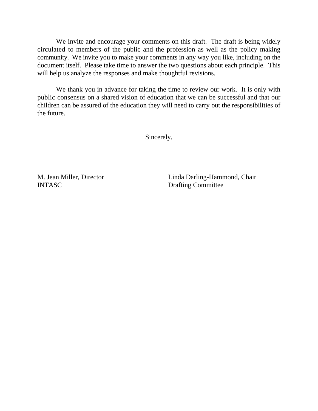We invite and encourage your comments on this draft. The draft is being widely circulated to members of the public and the profession as well as the policy making community. We invite you to make your comments in any way you like, including on the document itself. Please take time to answer the two questions about each principle. This will help us analyze the responses and make thoughtful revisions.

We thank you in advance for taking the time to review our work. It is only with public consensus on a shared vision of education that we can be successful and that our children can be assured of the education they will need to carry out the responsibilities of the future.

Sincerely,

INTASC Drafting Committee

M. Jean Miller, Director Linda Darling-Hammond, Chair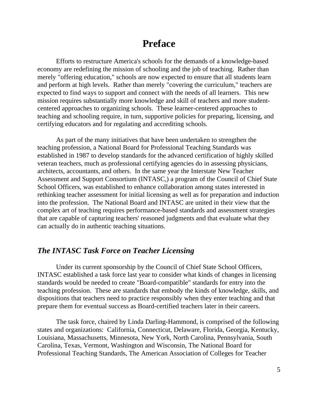## **Preface**

Efforts to restructure America's schools for the demands of a knowledge-based economy are redefining the mission of schooling and the job of teaching. Rather than merely "offering education," schools are now expected to ensure that all students learn and perform at high levels. Rather than merely "covering the curriculum," teachers are expected to find ways to support and connect with the needs of all learners. This new mission requires substantially more knowledge and skill of teachers and more studentcentered approaches to organizing schools. These learner-centered approaches to teaching and schooling require, in turn, supportive policies for preparing, licensing, and certifying educators and for regulating and accrediting schools.

As part of the many initiatives that have been undertaken to strengthen the teaching profession, a National Board for Professional Teaching Standards was established in 1987 to develop standards for the advanced certification of highly skilled veteran teachers, much as professional certifying agencies do in assessing physicians, architects, accountants, and others. In the same year the Interstate New Teacher Assessment and Support Consortium (INTASC,) a program of the Council of Chief State School Officers, was established to enhance collaboration among states interested in rethinking teacher assessment for initial licensing as well as for preparation and induction into the profession. The National Board and INTASC are united in their view that the complex art of teaching requires performance-based standards and assessment strategies that are capable of capturing teachers' reasoned judgments and that evaluate what they can actually do in authentic teaching situations.

#### *The INTASC Task Force on Teacher Licensing*

Under its current sponsorship by the Council of Chief State School Officers, INTASC established a task force last year to consider what kinds of changes in licensing standards would be needed to create "Board-compatible" standards for entry into the teaching profession. These are standards that embody the kinds of knowledge, skills, and dispositions that teachers need to practice responsibly when they enter teaching and that prepare them for eventual success as Board-certified teachers later in their careers.

The task force, chaired by Linda Darling-Hammond, is comprised of the following states and organizations: California, Connecticut, Delaware, Florida, Georgia, Kentucky, Louisiana, Massachusetts, Minnesota, New York, North Carolina, Pennsylvania, South Carolina, Texas, Vermont, Washington and Wisconsin, The National Board for Professional Teaching Standards, The American Association of Colleges for Teacher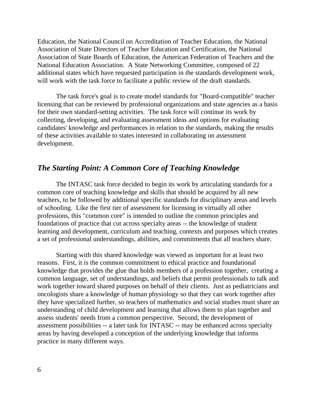Education, the National Council on Accreditation of Teacher Education, the National Association of State Directors of Teacher Education and Certification, the National Association of State Boards of Education, the American Federation of Teachers and the National Education Association. A State Networking Committee, composed of 22 additional states which have requested participation in the standards development work, will work with the task force to facilitate a public review of the draft standards.

The task force's goal is to create model standards for "Board-compatible" teacher licensing that can be reviewed by professional organizations and state agencies as a basis for their own standard-setting activities. The task force will continue its work by collecting, developing, and evaluating assessment ideas and options for evaluating candidates' knowledge and performances in relation to the standards, making the results of these activities available to states interested in collaborating on assessment development.

#### *The Starting Point: A Common Core of Teaching Knowledge*

The INTASC task force decided to begin its work by articulating standards for a common core of teaching knowledge and skills that should be acquired by all new teachers, to be followed by additional specific standards for disciplinary areas and levels of schooling. Like the first tier of assessment for licensing in virtually all other professions, this "common core" is intended to outline the common principles and foundations of practice that cut across specialty areas -- the knowledge of student learning and development, curriculum and teaching, contexts and purposes which creates a set of professional understandings, abilities, and commitments that all teachers share.

Starting with this shared knowledge was viewed as important for at least two reasons. First, it is the common commitment to ethical practice and foundational knowledge that provides the glue that holds members of a profession together, creating a common language, set of understandings, and beliefs that permit professionals to talk and work together toward shared purposes on behalf of their clients. Just as pediatricians and oncologists share a knowledge of human physiology so that they can work together after they have specialized further, so teachers of mathematics and social studies must share an understanding of child development and learning that allows them to plan together and assess students' needs from a common perspective. Second, the development of assessment possibilities -- a later task for INTASC -- may be enhanced across specialty areas by having developed a conception of the underlying knowledge that informs practice in many different ways.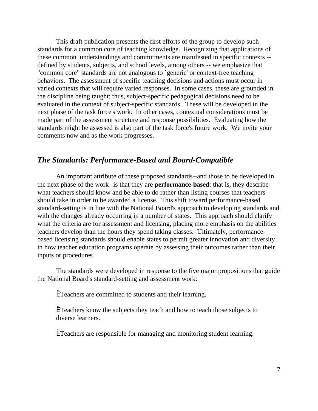This draft publication presents the first efforts of the group to develop such standards for a common core of teaching knowledge. Recognizing that applications of these common understandings and commitments are manifested in specific contexts - defined by students, subjects, and school levels, among others -- we emphasize that "common core" standards are not analogous to `generic' or context-free teaching behaviors. The assessment of specific teaching decisions and actions must occur in varied contexts that will require varied responses. In some cases, these are grounded in the discipline being taught: thus, subject-specific pedagogical decisions need to be evaluated in the context of subject-specific standards. These will be developed in the next phase of the task force's work. In other cases, contextual considerations must be made part of the assessment structure and response possibilities. Evaluating how the standards might be assessed is also part of the task force's future work. We invite your comments now and as the work progresses.

#### *The Standards: Performance-Based and Board-Compatible*

An important attribute of these proposed standards--and those to be developed in the next phase of the work--is that they are **performance-based**: that is, they describe what teachers should know and be able to do rather than listing courses that teachers should take in order to be awarded a license. This shift toward performance-based standard-setting is in line with the National Board's approach to developing standards and with the changes already occurring in a number of states. This approach should clarify what the criteria are for assessment and licensing, placing more emphasis on the abilities teachers develop than the hours they spend taking classes. Ultimately, performancebased licensing standards should enable states to permit greater innovation and diversity in how teacher education programs operate by assessing their outcomes rather than their inputs or procedures.

The standards were developed in response to the five major propositions that guide the National Board's standard-setting and assessment work:

ËTeachers are committed to students and their learning.

ËTeachers know the subjects they teach and how to teach those subjects to diverse learners.

ËTeachers are responsible for managing and monitoring student learning.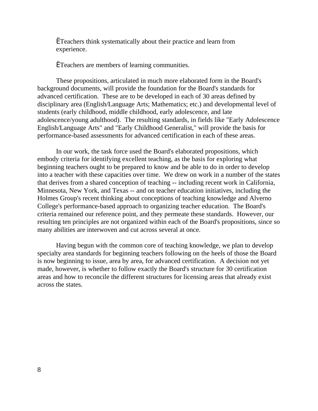ËTeachers think systematically about their practice and learn from experience.

ËTeachers are members of learning communities.

These propositions, articulated in much more elaborated form in the Board's background documents, will provide the foundation for the Board's standards for advanced certification. These are to be developed in each of 30 areas defined by disciplinary area (English/Language Arts; Mathematics; etc.) and developmental level of students (early childhood, middle childhood, early adolescence, and late adolescence/young adulthood). The resulting standards, in fields like "Early Adolescence English/Language Arts" and "Early Childhood Generalist," will provide the basis for performance-based assessments for advanced certification in each of these areas.

In our work, the task force used the Board's elaborated propositions, which embody criteria for identifying excellent teaching, as the basis for exploring what beginning teachers ought to be prepared to know and be able to do in order to develop into a teacher with these capacities over time. We drew on work in a number of the states that derives from a shared conception of teaching -- including recent work in California, Minnesota, New York, and Texas -- and on teacher education initiatives, including the Holmes Group's recent thinking about conceptions of teaching knowledge and Alverno College's performance-based approach to organizing teacher education. The Board's criteria remained our reference point, and they permeate these standards. However, our resulting ten principles are not organized within each of the Board's propositions, since so many abilities are interwoven and cut across several at once.

Having begun with the common core of teaching knowledge, we plan to develop specialty area standards for beginning teachers following on the heels of those the Board is now beginning to issue, area by area, for advanced certification. A decision not yet made, however, is whether to follow exactly the Board's structure for 30 certification areas and how to reconcile the different structures for licensing areas that already exist across the states.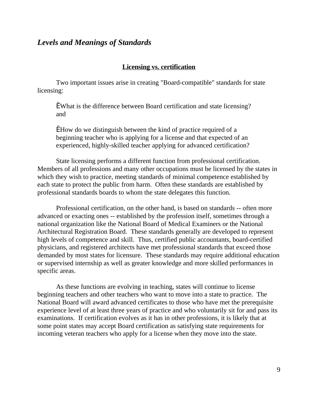#### *Levels and Meanings of Standards*

#### **Licensing vs. certification**

Two important issues arise in creating "Board-compatible" standards for state licensing:

ËWhat is the difference between Board certification and state licensing? and

ËHow do we distinguish between the kind of practice required of a beginning teacher who is applying for a license and that expected of an experienced, highly-skilled teacher applying for advanced certification?

State licensing performs a different function from professional certification. Members of all professions and many other occupations must be licensed by the states in which they wish to practice, meeting standards of minimal competence established by each state to protect the public from harm. Often these standards are established by professional standards boards to whom the state delegates this function.

Professional certification, on the other hand, is based on standards -- often more advanced or exacting ones -- established by the profession itself, sometimes through a national organization like the National Board of Medical Examiners or the National Architectural Registration Board. These standards generally are developed to represent high levels of competence and skill. Thus, certified public accountants, board-certified physicians, and registered architects have met professional standards that exceed those demanded by most states for licensure. These standards may require additional education or supervised internship as well as greater knowledge and more skilled performances in specific areas.

As these functions are evolving in teaching, states will continue to license beginning teachers and other teachers who want to move into a state to practice. The National Board will award advanced certificates to those who have met the prerequisite experience level of at least three years of practice and who voluntarily sit for and pass its examinations. If certification evolves as it has in other professions, it is likely that at some point states may accept Board certification as satisfying state requirements for incoming veteran teachers who apply for a license when they move into the state.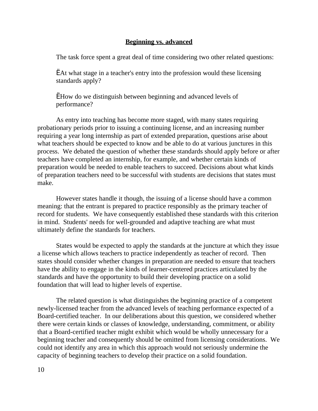#### **Beginning vs. advanced**

The task force spent a great deal of time considering two other related questions:

ËAt what stage in a teacher's entry into the profession would these licensing standards apply?

ËHow do we distinguish between beginning and advanced levels of performance?

As entry into teaching has become more staged, with many states requiring probationary periods prior to issuing a continuing license, and an increasing number requiring a year long internship as part of extended preparation, questions arise about what teachers should be expected to know and be able to do at various junctures in this process. We debated the question of whether these standards should apply before or after teachers have completed an internship, for example, and whether certain kinds of preparation would be needed to enable teachers to succeed. Decisions about what kinds of preparation teachers need to be successful with students are decisions that states must make.

However states handle it though, the issuing of a license should have a common meaning: that the entrant is prepared to practice responsibly as the primary teacher of record for students. We have consequently established these standards with this criterion in mind. Students' needs for well-grounded and adaptive teaching are what must ultimately define the standards for teachers.

States would be expected to apply the standards at the juncture at which they issue a license which allows teachers to practice independently as teacher of record. Then states should consider whether changes in preparation are needed to ensure that teachers have the ability to engage in the kinds of learner-centered practices articulated by the standards and have the opportunity to build their developing practice on a solid foundation that will lead to higher levels of expertise.

The related question is what distinguishes the beginning practice of a competent newly-licensed teacher from the advanced levels of teaching performance expected of a Board-certified teacher. In our deliberations about this question, we considered whether there were certain kinds or classes of knowledge, understanding, commitment, or ability that a Board-certified teacher might exhibit which would be wholly unnecessary for a beginning teacher and consequently should be omitted from licensing considerations. We could not identify any area in which this approach would not seriously undermine the capacity of beginning teachers to develop their practice on a solid foundation.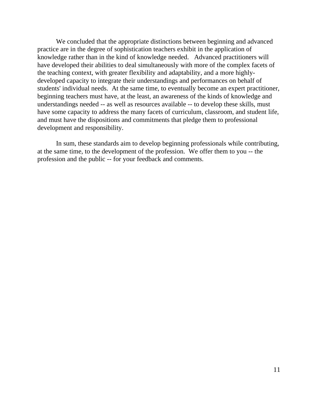We concluded that the appropriate distinctions between beginning and advanced practice are in the degree of sophistication teachers exhibit in the application of knowledge rather than in the kind of knowledge needed. Advanced practitioners will have developed their abilities to deal simultaneously with more of the complex facets of the teaching context, with greater flexibility and adaptability, and a more highlydeveloped capacity to integrate their understandings and performances on behalf of students' individual needs. At the same time, to eventually become an expert practitioner, beginning teachers must have, at the least, an awareness of the kinds of knowledge and understandings needed -- as well as resources available -- to develop these skills, must have some capacity to address the many facets of curriculum, classroom, and student life, and must have the dispositions and commitments that pledge them to professional development and responsibility.

In sum, these standards aim to develop beginning professionals while contributing, at the same time, to the development of the profession. We offer them to you -- the profession and the public -- for your feedback and comments.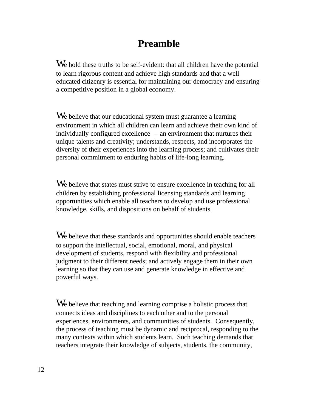# **Preamble**

We hold these truths to be self-evident: that all children have the potential to learn rigorous content and achieve high standards and that a well educated citizenry is essential for maintaining our democracy and ensuring a competitive position in a global economy.

We believe that our educational system must guarantee a learning environment in which all children can learn and achieve their own kind of individually configured excellence -- an environment that nurtures their unique talents and creativity; understands, respects, and incorporates the diversity of their experiences into the learning process; and cultivates their personal commitment to enduring habits of life-long learning.

We believe that states must strive to ensure excellence in teaching for all children by establishing professional licensing standards and learning opportunities which enable all teachers to develop and use professional knowledge, skills, and dispositions on behalf of students.

We believe that these standards and opportunities should enable teachers to support the intellectual, social, emotional, moral, and physical development of students, respond with flexibility and professional judgment to their different needs; and actively engage them in their own learning so that they can use and generate knowledge in effective and powerful ways.

We believe that teaching and learning comprise a holistic process that connects ideas and disciplines to each other and to the personal experiences, environments, and communities of students. Consequently, the process of teaching must be dynamic and reciprocal, responding to the many contexts within which students learn. Such teaching demands that teachers integrate their knowledge of subjects, students, the community,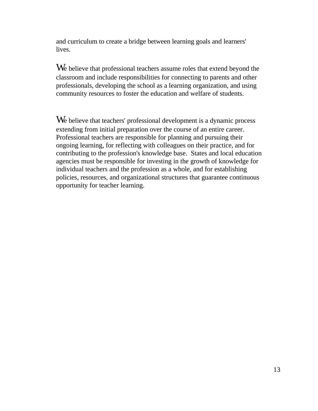and curriculum to create a bridge between learning goals and learners' lives.

We believe that professional teachers assume roles that extend beyond the classroom and include responsibilities for connecting to parents and other professionals, developing the school as a learning organization, and using community resources to foster the education and welfare of students.

We believe that teachers' professional development is a dynamic process extending from initial preparation over the course of an entire career. Professional teachers are responsible for planning and pursuing their ongoing learning, for reflecting with colleagues on their practice, and for contributing to the profession's knowledge base. States and local education agencies must be responsible for investing in the growth of knowledge for individual teachers and the profession as a whole, and for establishing policies, resources, and organizational structures that guarantee continuous opportunity for teacher learning.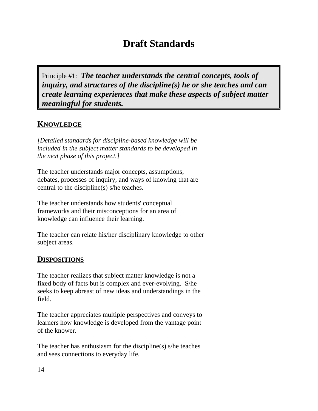# **Draft Standards**

Principle #1: *The teacher understands the central concepts, tools of inquiry, and structures of the discipline(s) he or she teaches and can create learning experiences that make these aspects of subject matter meaningful for students.*

## **KNOWLEDGE**

*[Detailed standards for discipline-based knowledge will be included in the subject matter standards to be developed in the next phase of this project.]*

The teacher understands major concepts, assumptions, debates, processes of inquiry, and ways of knowing that are central to the discipline(s) s/he teaches.

The teacher understands how students' conceptual frameworks and their misconceptions for an area of knowledge can influence their learning.

The teacher can relate his/her disciplinary knowledge to other subject areas.

### **DISPOSITIONS**

The teacher realizes that subject matter knowledge is not a fixed body of facts but is complex and ever-evolving. S/he seeks to keep abreast of new ideas and understandings in the field.

The teacher appreciates multiple perspectives and conveys to learners how knowledge is developed from the vantage point of the knower.

The teacher has enthusiasm for the discipline(s) s/he teaches and sees connections to everyday life.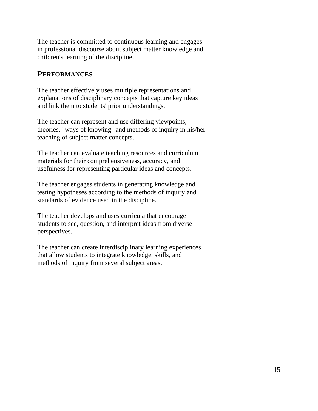The teacher is committed to continuous learning and engages in professional discourse about subject matter knowledge and children's learning of the discipline.

#### **PERFORMANCES**

The teacher effectively uses multiple representations and explanations of disciplinary concepts that capture key ideas and link them to students' prior understandings.

The teacher can represent and use differing viewpoints, theories, "ways of knowing" and methods of inquiry in his/her teaching of subject matter concepts.

The teacher can evaluate teaching resources and curriculum materials for their comprehensiveness, accuracy, and usefulness for representing particular ideas and concepts.

The teacher engages students in generating knowledge and testing hypotheses according to the methods of inquiry and standards of evidence used in the discipline.

The teacher develops and uses curricula that encourage students to see, question, and interpret ideas from diverse perspectives.

The teacher can create interdisciplinary learning experiences that allow students to integrate knowledge, skills, and methods of inquiry from several subject areas.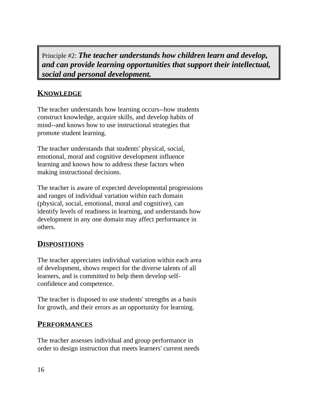Principle #2: *The teacher understands how children learn and develop, and can provide learning opportunities that support their intellectual, social and personal development.*

## **KNOWLEDGE**

The teacher understands how learning occurs--how students construct knowledge, acquire skills, and develop habits of mind--and knows how to use instructional strategies that promote student learning.

The teacher understands that students' physical, social, emotional, moral and cognitive development influence learning and knows how to address these factors when making instructional decisions.

The teacher is aware of expected developmental progressions and ranges of individual variation within each domain (physical, social, emotional, moral and cognitive), can identify levels of readiness in learning, and understands how development in any one domain may affect performance in others.

### **DISPOSITIONS**

The teacher appreciates individual variation within each area of development, shows respect for the diverse talents of all learners, and is committed to help them develop selfconfidence and competence.

The teacher is disposed to use students' strengths as a basis for growth, and their errors as an opportunity for learning.

#### **PERFORMANCES**

The teacher assesses individual and group performance in order to design instruction that meets learners' current needs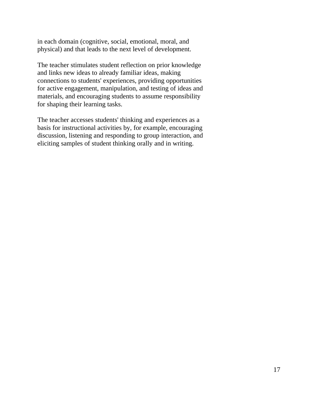in each domain (cognitive, social, emotional, moral, and physical) and that leads to the next level of development.

The teacher stimulates student reflection on prior knowledge and links new ideas to already familiar ideas, making connections to students' experiences, providing opportunities for active engagement, manipulation, and testing of ideas and materials, and encouraging students to assume responsibility for shaping their learning tasks.

The teacher accesses students' thinking and experiences as a basis for instructional activities by, for example, encouraging discussion, listening and responding to group interaction, and eliciting samples of student thinking orally and in writing.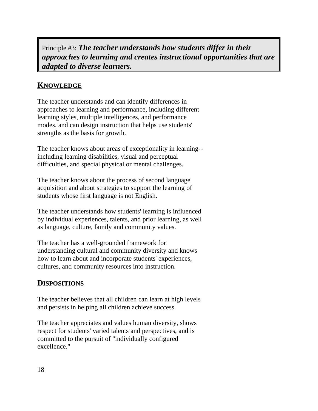Principle #3: *The teacher understands how students differ in their approaches to learning and creates instructional opportunities that are adapted to diverse learners.*

## **KNOWLEDGE**

The teacher understands and can identify differences in approaches to learning and performance, including different learning styles, multiple intelligences, and performance modes, and can design instruction that helps use students' strengths as the basis for growth.

The teacher knows about areas of exceptionality in learning- including learning disabilities, visual and perceptual difficulties, and special physical or mental challenges.

The teacher knows about the process of second language acquisition and about strategies to support the learning of students whose first language is not English.

The teacher understands how students' learning is influenced by individual experiences, talents, and prior learning, as well as language, culture, family and community values.

The teacher has a well-grounded framework for understanding cultural and community diversity and knows how to learn about and incorporate students' experiences, cultures, and community resources into instruction.

## **DISPOSITIONS**

The teacher believes that all children can learn at high levels and persists in helping all children achieve success.

The teacher appreciates and values human diversity, shows respect for students' varied talents and perspectives, and is committed to the pursuit of "individually configured excellence."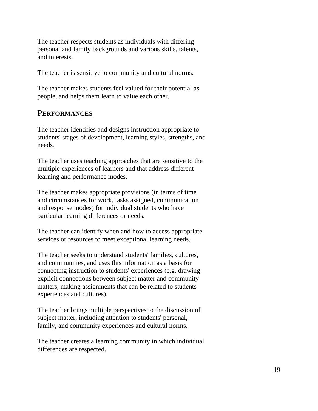The teacher respects students as individuals with differing personal and family backgrounds and various skills, talents, and interests.

The teacher is sensitive to community and cultural norms.

The teacher makes students feel valued for their potential as people, and helps them learn to value each other.

### **PERFORMANCES**

The teacher identifies and designs instruction appropriate to students' stages of development, learning styles, strengths, and needs.

The teacher uses teaching approaches that are sensitive to the multiple experiences of learners and that address different learning and performance modes.

The teacher makes appropriate provisions (in terms of time and circumstances for work, tasks assigned, communication and response modes) for individual students who have particular learning differences or needs.

The teacher can identify when and how to access appropriate services or resources to meet exceptional learning needs.

The teacher seeks to understand students' families, cultures, and communities, and uses this information as a basis for connecting instruction to students' experiences (e.g. drawing explicit connections between subject matter and community matters, making assignments that can be related to students' experiences and cultures).

The teacher brings multiple perspectives to the discussion of subject matter, including attention to students' personal, family, and community experiences and cultural norms.

The teacher creates a learning community in which individual differences are respected.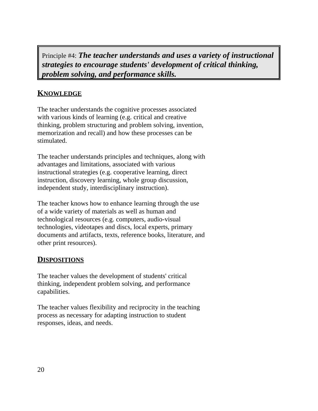Principle #4: *The teacher understands and uses a variety of instructional strategies to encourage students' development of critical thinking, problem solving, and performance skills.*

## **KNOWLEDGE**

The teacher understands the cognitive processes associated with various kinds of learning (e.g. critical and creative thinking, problem structuring and problem solving, invention, memorization and recall) and how these processes can be stimulated.

The teacher understands principles and techniques, along with advantages and limitations, associated with various instructional strategies (e.g. cooperative learning, direct instruction, discovery learning, whole group discussion, independent study, interdisciplinary instruction).

The teacher knows how to enhance learning through the use of a wide variety of materials as well as human and technological resources (e.g. computers, audio-visual technologies, videotapes and discs, local experts, primary documents and artifacts, texts, reference books, literature, and other print resources).

### **DISPOSITIONS**

The teacher values the development of students' critical thinking, independent problem solving, and performance capabilities.

The teacher values flexibility and reciprocity in the teaching process as necessary for adapting instruction to student responses, ideas, and needs.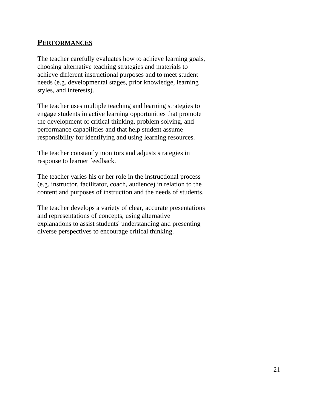#### **PERFORMANCES**

The teacher carefully evaluates how to achieve learning goals, choosing alternative teaching strategies and materials to achieve different instructional purposes and to meet student needs (e.g. developmental stages, prior knowledge, learning styles, and interests).

The teacher uses multiple teaching and learning strategies to engage students in active learning opportunities that promote the development of critical thinking, problem solving, and performance capabilities and that help student assume responsibility for identifying and using learning resources.

The teacher constantly monitors and adjusts strategies in response to learner feedback.

The teacher varies his or her role in the instructional process (e.g. instructor, facilitator, coach, audience) in relation to the content and purposes of instruction and the needs of students.

The teacher develops a variety of clear, accurate presentations and representations of concepts, using alternative explanations to assist students' understanding and presenting diverse perspectives to encourage critical thinking.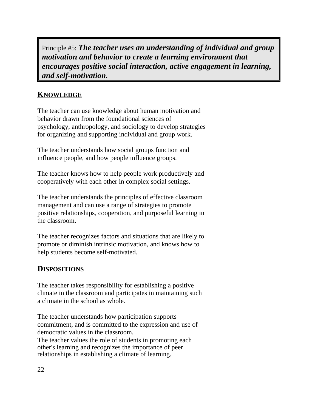Principle #5: *The teacher uses an understanding of individual and group motivation and behavior to create a learning environment that encourages positive social interaction, active engagement in learning, and self-motivation.*

## **KNOWLEDGE**

The teacher can use knowledge about human motivation and behavior drawn from the foundational sciences of psychology, anthropology, and sociology to develop strategies for organizing and supporting individual and group work.

The teacher understands how social groups function and influence people, and how people influence groups.

The teacher knows how to help people work productively and cooperatively with each other in complex social settings.

The teacher understands the principles of effective classroom management and can use a range of strategies to promote positive relationships, cooperation, and purposeful learning in the classroom.

The teacher recognizes factors and situations that are likely to promote or diminish intrinsic motivation, and knows how to help students become self-motivated.

### **DISPOSITIONS**

The teacher takes responsibility for establishing a positive climate in the classroom and participates in maintaining such a climate in the school as whole.

The teacher understands how participation supports commitment, and is committed to the expression and use of democratic values in the classroom. The teacher values the role of students in promoting each other's learning and recognizes the importance of peer relationships in establishing a climate of learning.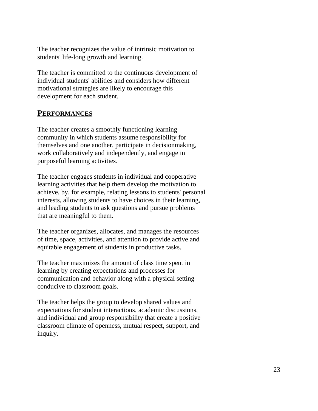The teacher recognizes the value of intrinsic motivation to students' life-long growth and learning.

The teacher is committed to the continuous development of individual students' abilities and considers how different motivational strategies are likely to encourage this development for each student.

#### **PERFORMANCES**

The teacher creates a smoothly functioning learning community in which students assume responsibility for themselves and one another, participate in decisionmaking, work collaboratively and independently, and engage in purposeful learning activities.

The teacher engages students in individual and cooperative learning activities that help them develop the motivation to achieve, by, for example, relating lessons to students' personal interests, allowing students to have choices in their learning, and leading students to ask questions and pursue problems that are meaningful to them.

The teacher organizes, allocates, and manages the resources of time, space, activities, and attention to provide active and equitable engagement of students in productive tasks.

The teacher maximizes the amount of class time spent in learning by creating expectations and processes for communication and behavior along with a physical setting conducive to classroom goals.

The teacher helps the group to develop shared values and expectations for student interactions, academic discussions, and individual and group responsibility that create a positive classroom climate of openness, mutual respect, support, and inquiry.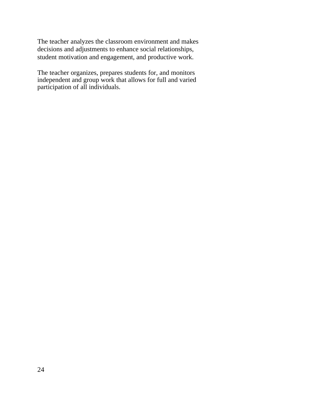The teacher analyzes the classroom environment and makes decisions and adjustments to enhance social relationships, student motivation and engagement, and productive work.

The teacher organizes, prepares students for, and monitors independent and group work that allows for full and varied participation of all individuals.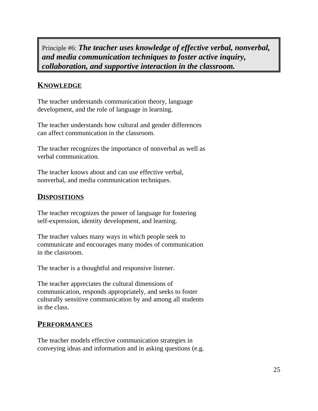Principle #6: *The teacher uses knowledge of effective verbal, nonverbal, and media communication techniques to foster active inquiry, collaboration, and supportive interaction in the classroom.*

## **KNOWLEDGE**

The teacher understands communication theory, language development, and the role of language in learning.

The teacher understands how cultural and gender differences can affect communication in the classroom.

The teacher recognizes the importance of nonverbal as well as verbal communication.

The teacher knows about and can use effective verbal, nonverbal, and media communication techniques.

### **DISPOSITIONS**

The teacher recognizes the power of language for fostering self-expression, identity development, and learning.

The teacher values many ways in which people seek to communicate and encourages many modes of communication in the classroom.

The teacher is a thoughtful and responsive listener.

The teacher appreciates the cultural dimensions of communication, responds appropriately, and seeks to foster culturally sensitive communication by and among all students in the class.

#### **PERFORMANCES**

The teacher models effective communication strategies in conveying ideas and information and in asking questions (e.g.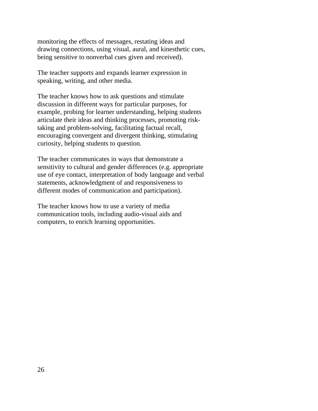monitoring the effects of messages, restating ideas and drawing connections, using visual, aural, and kinesthetic cues, being sensitive to nonverbal cues given and received).

The teacher supports and expands learner expression in speaking, writing, and other media.

The teacher knows how to ask questions and stimulate discussion in different ways for particular purposes, for example, probing for learner understanding, helping students articulate their ideas and thinking processes, promoting risktaking and problem-solving, facilitating factual recall, encouraging convergent and divergent thinking, stimulating curiosity, helping students to question.

The teacher communicates in ways that demonstrate a sensitivity to cultural and gender differences (e.g. appropriate use of eye contact, interpretation of body language and verbal statements, acknowledgment of and responsiveness to different modes of communication and participation).

The teacher knows how to use a variety of media communication tools, including audio-visual aids and computers, to enrich learning opportunities.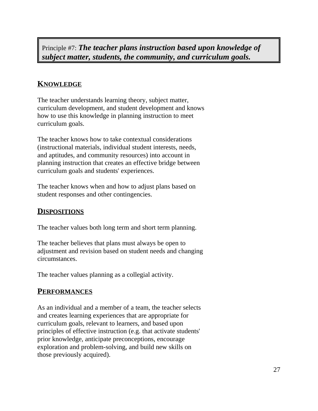Principle #7: *The teacher plans instruction based upon knowledge of subject matter, students, the community, and curriculum goals.*

#### **KNOWLEDGE**

The teacher understands learning theory, subject matter, curriculum development, and student development and knows how to use this knowledge in planning instruction to meet curriculum goals.

The teacher knows how to take contextual considerations (instructional materials, individual student interests, needs, and aptitudes, and community resources) into account in planning instruction that creates an effective bridge between curriculum goals and students' experiences.

The teacher knows when and how to adjust plans based on student responses and other contingencies.

#### **DISPOSITIONS**

The teacher values both long term and short term planning.

The teacher believes that plans must always be open to adjustment and revision based on student needs and changing circumstances.

The teacher values planning as a collegial activity.

#### **PERFORMANCES**

As an individual and a member of a team, the teacher selects and creates learning experiences that are appropriate for curriculum goals, relevant to learners, and based upon principles of effective instruction (e.g. that activate students' prior knowledge, anticipate preconceptions, encourage exploration and problem-solving, and build new skills on those previously acquired).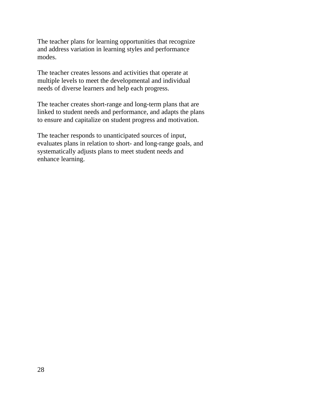The teacher plans for learning opportunities that recognize and address variation in learning styles and performance modes.

The teacher creates lessons and activities that operate at multiple levels to meet the developmental and individual needs of diverse learners and help each progress.

The teacher creates short-range and long-term plans that are linked to student needs and performance, and adapts the plans to ensure and capitalize on student progress and motivation.

The teacher responds to unanticipated sources of input, evaluates plans in relation to short- and long-range goals, and systematically adjusts plans to meet student needs and enhance learning.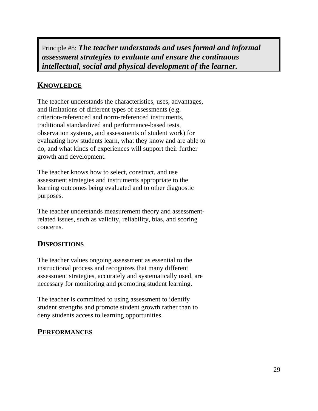Principle #8: *The teacher understands and uses formal and informal assessment strategies to evaluate and ensure the continuous intellectual, social and physical development of the learner.*

## **KNOWLEDGE**

The teacher understands the characteristics, uses, advantages, and limitations of different types of assessments (e.g. criterion-referenced and norm-referenced instruments, traditional standardized and performance-based tests, observation systems, and assessments of student work) for evaluating how students learn, what they know and are able to do, and what kinds of experiences will support their further growth and development.

The teacher knows how to select, construct, and use assessment strategies and instruments appropriate to the learning outcomes being evaluated and to other diagnostic purposes.

The teacher understands measurement theory and assessmentrelated issues, such as validity, reliability, bias, and scoring concerns.

### **DISPOSITIONS**

The teacher values ongoing assessment as essential to the instructional process and recognizes that many different assessment strategies, accurately and systematically used, are necessary for monitoring and promoting student learning.

The teacher is committed to using assessment to identify student strengths and promote student growth rather than to deny students access to learning opportunities.

#### **PERFORMANCES**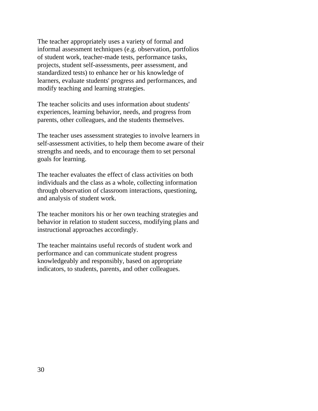The teacher appropriately uses a variety of formal and informal assessment techniques (e.g. observation, portfolios of student work, teacher-made tests, performance tasks, projects, student self-assessments, peer assessment, and standardized tests) to enhance her or his knowledge of learners, evaluate students' progress and performances, and modify teaching and learning strategies.

The teacher solicits and uses information about students' experiences, learning behavior, needs, and progress from parents, other colleagues, and the students themselves.

The teacher uses assessment strategies to involve learners in self-assessment activities, to help them become aware of their strengths and needs, and to encourage them to set personal goals for learning.

The teacher evaluates the effect of class activities on both individuals and the class as a whole, collecting information through observation of classroom interactions, questioning, and analysis of student work.

The teacher monitors his or her own teaching strategies and behavior in relation to student success, modifying plans and instructional approaches accordingly.

The teacher maintains useful records of student work and performance and can communicate student progress knowledgeably and responsibly, based on appropriate indicators, to students, parents, and other colleagues.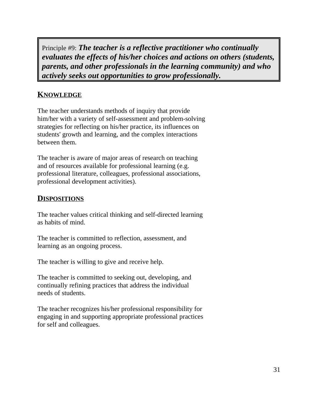Principle #9: *The teacher is a reflective practitioner who continually evaluates the effects of his/her choices and actions on others (students, parents, and other professionals in the learning community) and who actively seeks out opportunities to grow professionally.*

## **KNOWLEDGE**

The teacher understands methods of inquiry that provide him/her with a variety of self-assessment and problem-solving strategies for reflecting on his/her practice, its influences on students' growth and learning, and the complex interactions between them.

The teacher is aware of major areas of research on teaching and of resources available for professional learning (e.g. professional literature, colleagues, professional associations, professional development activities).

### **DISPOSITIONS**

The teacher values critical thinking and self-directed learning as habits of mind.

The teacher is committed to reflection, assessment, and learning as an ongoing process.

The teacher is willing to give and receive help.

The teacher is committed to seeking out, developing, and continually refining practices that address the individual needs of students.

The teacher recognizes his/her professional responsibility for engaging in and supporting appropriate professional practices for self and colleagues.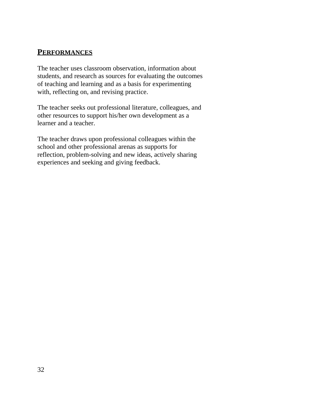#### **PERFORMANCES**

The teacher uses classroom observation, information about students, and research as sources for evaluating the outcomes of teaching and learning and as a basis for experimenting with, reflecting on, and revising practice.

The teacher seeks out professional literature, colleagues, and other resources to support his/her own development as a learner and a teacher.

The teacher draws upon professional colleagues within the school and other professional arenas as supports for reflection, problem-solving and new ideas, actively sharing experiences and seeking and giving feedback.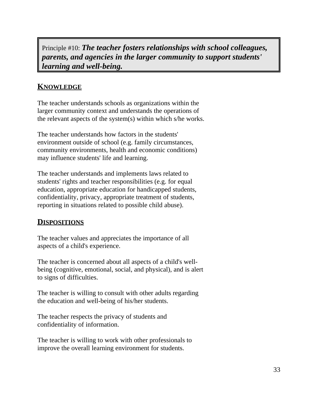Principle #10: *The teacher fosters relationships with school colleagues, parents, and agencies in the larger community to support students' learning and well-being.*

## **KNOWLEDGE**

The teacher understands schools as organizations within the larger community context and understands the operations of the relevant aspects of the system(s) within which s/he works.

The teacher understands how factors in the students' environment outside of school (e.g. family circumstances, community environments, health and economic conditions) may influence students' life and learning.

The teacher understands and implements laws related to students' rights and teacher responsibilities (e.g. for equal education, appropriate education for handicapped students, confidentiality, privacy, appropriate treatment of students, reporting in situations related to possible child abuse).

### **DISPOSITIONS**

The teacher values and appreciates the importance of all aspects of a child's experience.

The teacher is concerned about all aspects of a child's wellbeing (cognitive, emotional, social, and physical), and is alert to signs of difficulties.

The teacher is willing to consult with other adults regarding the education and well-being of his/her students.

The teacher respects the privacy of students and confidentiality of information.

The teacher is willing to work with other professionals to improve the overall learning environment for students.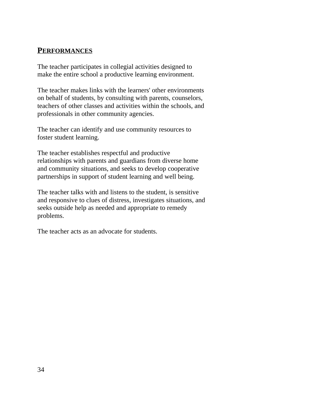#### **PERFORMANCES**

The teacher participates in collegial activities designed to make the entire school a productive learning environment.

The teacher makes links with the learners' other environments on behalf of students, by consulting with parents, counselors, teachers of other classes and activities within the schools, and professionals in other community agencies.

The teacher can identify and use community resources to foster student learning.

The teacher establishes respectful and productive relationships with parents and guardians from diverse home and community situations, and seeks to develop cooperative partnerships in support of student learning and well being.

The teacher talks with and listens to the student, is sensitive and responsive to clues of distress, investigates situations, and seeks outside help as needed and appropriate to remedy problems.

The teacher acts as an advocate for students.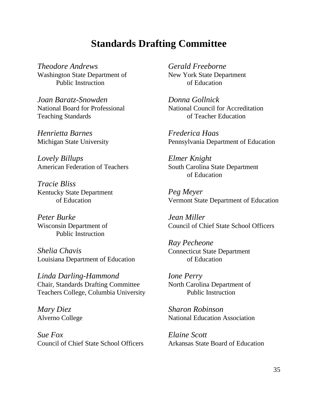## **Standards Drafting Committee**

*Theodore Andrews Gerald Freeborne* Washington State Department of New York State Department Public Instruction of Education

*Joan Baratz-Snowden Donna Gollnick* Teaching Standards of Teacher Education

*Henrietta Barnes Frederica Haas*

*Lovely Billups Elmer Knight* American Federation of Teachers South Carolina State Department

*Tracie Bliss* Kentucky State Department

*Peter Burke Jean Miller* Public Instruction

*Shelia Chavis* Louisiana Department of Education of Education

*Linda Darling-Hammond Ione Perry* Chair, Standards Drafting Committee North Carolina Department of Teachers College, Columbia University Public Instruction

*Sue Fox Elaine Scott* Council of Chief State School Officers Arkansas State Board of Education

National Board for Professional National Council for Accreditation

Michigan State University Pennsylvania Department of Education

of Education

of Education Vermont State Department of Education *Peg Meyer*

Council of Chief State School Officers

*Ray Pecheone* Connecticut State Department

*Mary Diez Sharon Robinson* Alverno College National Education Association